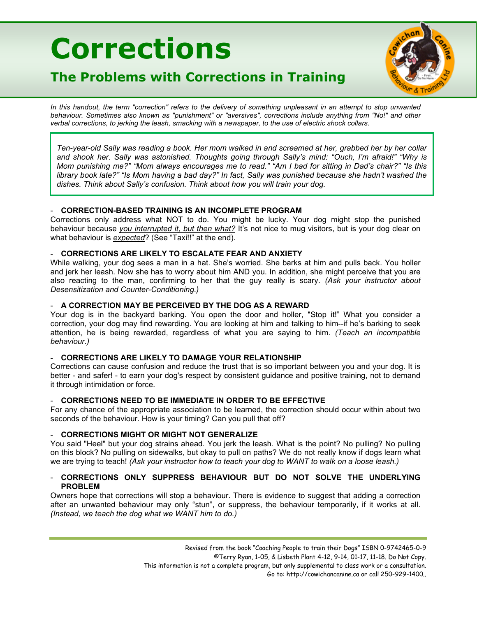# **Corrections**



# **The Problems with Corrections in Training**

In this handout, the term "correction" refers to the delivery of something unpleasant in an attempt to stop unwanted *behaviour. Sometimes also known as "punishment" or "aversives", corrections include anything from "No!" and other verbal corrections, to jerking the leash, smacking with a newspaper, to the use of electric shock collars.*

*Ten-year-old Sally was reading a book. Her mom walked in and screamed at her, grabbed her by her collar and shook her. Sally was astonished. Thoughts going through Sally's mind: "Ouch, I'm afraid!" "Why is Mom punishing me?" "Mom always encourages me to read." "Am I bad for sitting in Dad's chair?" "Is this library book late?" "Is Mom having a bad day?" In fact, Sally was punished because she hadn't washed the dishes. Think about Sally's confusion. Think about how you will train your dog.*

# - **CORRECTION-BASED TRAINING IS AN INCOMPLETE PROGRAM**

Corrections only address what NOT to do. You might be lucky. Your dog might stop the punished behaviour because *you interrupted it, but then what?* It's not nice to mug visitors, but is your dog clear on what behaviour is *expected*? (See "Taxi!!" at the end).

# - **CORRECTIONS ARE LIKELY TO ESCALATE FEAR AND ANXIETY**

While walking, your dog sees a man in a hat. She's worried. She barks at him and pulls back. You holler and jerk her leash. Now she has to worry about him AND you. In addition, she might perceive that you are also reacting to the man, confirming to her that the guy really is scary. *(Ask your instructor about Desensitization and Counter-Conditioning.)*

# - **A CORRECTION MAY BE PERCEIVED BY THE DOG AS A REWARD**

Your dog is in the backyard barking. You open the door and holler, "Stop it!" What you consider a correction, your dog may find rewarding. You are looking at him and talking to him--if he's barking to seek attention, he is being rewarded, regardless of what you are saying to him. *(Teach an incompatible behaviour.)*

# - **CORRECTIONS ARE LIKELY TO DAMAGE YOUR RELATIONSHIP**

Corrections can cause confusion and reduce the trust that is so important between you and your dog. It is better - and safer! - to earn your dog's respect by consistent guidance and positive training, not to demand it through intimidation or force.

# - **CORRECTIONS NEED TO BE IMMEDIATE IN ORDER TO BE EFFECTIVE**

For any chance of the appropriate association to be learned, the correction should occur within about two seconds of the behaviour. How is your timing? Can you pull that off?

#### - **CORRECTIONS MIGHT OR MIGHT NOT GENERALIZE**

You said "Heel" but your dog strains ahead. You jerk the leash. What is the point? No pulling? No pulling on this block? No pulling on sidewalks, but okay to pull on paths? We do not really know if dogs learn what we are trying to teach! *(Ask your instructor how to teach your dog to WANT to walk on a loose leash.)*

# - **CORRECTIONS ONLY SUPPRESS BEHAVIOUR BUT DO NOT SOLVE THE UNDERLYING PROBLEM**

Owners hope that corrections will stop a behaviour. There is evidence to suggest that adding a correction after an unwanted behaviour may only "stun", or suppress, the behaviour temporarily, if it works at all. *(Instead, we teach the dog what we WANT him to do.)*